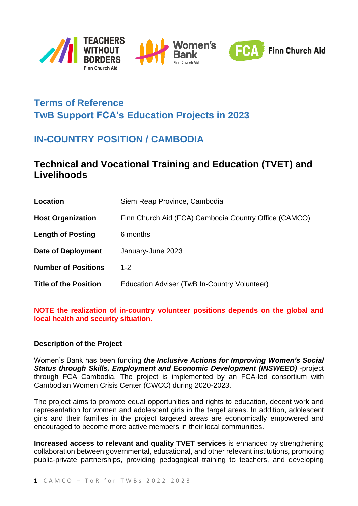

# **Terms of Reference TwB Support FCA's Education Projects in 2023**

# **IN-COUNTRY POSITION / CAMBODIA**

## **Technical and Vocational Training and Education (TVET) and Livelihoods**

| Location                     | Siem Reap Province, Cambodia                          |
|------------------------------|-------------------------------------------------------|
| <b>Host Organization</b>     | Finn Church Aid (FCA) Cambodia Country Office (CAMCO) |
| <b>Length of Posting</b>     | 6 months                                              |
| <b>Date of Deployment</b>    | January-June 2023                                     |
| <b>Number of Positions</b>   | $1 - 2$                                               |
| <b>Title of the Position</b> | Education Adviser (TwB In-Country Volunteer)          |

#### **NOTE the realization of in-country volunteer positions depends on the global and local health and security situation.**

#### **Description of the Project**

Women's Bank has been funding *the Inclusive Actions for Improving Women's Social Status through Skills, Employment and Economic Development (INSWEED)* -project through FCA Cambodia. The project is implemented by an FCA-led consortium with Cambodian Women Crisis Center (CWCC) during 2020-2023.

The project aims to promote equal opportunities and rights to education, decent work and representation for women and adolescent girls in the target areas. In addition, adolescent girls and their families in the project targeted areas are economically empowered and encouraged to become more active members in their local communities.

**Increased access to relevant and quality TVET services** is enhanced by strengthening collaboration between governmental, educational, and other relevant institutions, promoting public-private partnerships, providing pedagogical training to teachers, and developing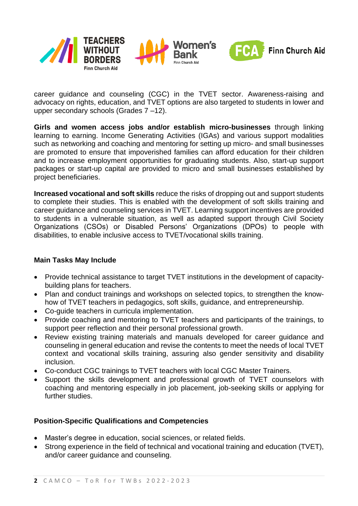

career guidance and counseling (CGC) in the TVET sector. Awareness-raising and advocacy on rights, education, and TVET options are also targeted to students in lower and upper secondary schools (Grades 7 –12).

**Girls and women access jobs and/or establish micro-businesses** through linking learning to earning. Income Generating Activities (IGAs) and various support modalities such as networking and coaching and mentoring for setting up micro- and small businesses are promoted to ensure that impoverished families can afford education for their children and to increase employment opportunities for graduating students. Also, start-up support packages or start-up capital are provided to micro and small businesses established by project beneficiaries.

**Increased vocational and soft skills** reduce the risks of dropping out and support students to complete their studies. This is enabled with the development of soft skills training and career guidance and counseling services in TVET. Learning support incentives are provided to students in a vulnerable situation, as well as adapted support through Civil Society Organizations (CSOs) or Disabled Persons' Organizations (DPOs) to people with disabilities, to enable inclusive access to TVET/vocational skills training.

### **Main Tasks May Include**

- Provide technical assistance to target TVET institutions in the development of capacitybuilding plans for teachers.
- Plan and conduct trainings and workshops on selected topics, to strengthen the knowhow of TVET teachers in pedagogics, soft skills, guidance, and entrepreneurship.
- Co-guide teachers in curricula implementation.
- Provide coaching and mentoring to TVET teachers and participants of the trainings, to support peer reflection and their personal professional growth.
- Review existing training materials and manuals developed for career guidance and counseling in general education and revise the contents to meet the needs of local TVET context and vocational skills training, assuring also gender sensitivity and disability inclusion.
- Co-conduct CGC trainings to TVET teachers with local CGC Master Trainers.
- Support the skills development and professional growth of TVET counselors with coaching and mentoring especially in job placement, job-seeking skills or applying for further studies.

### **Position-Specific Qualifications and Competencies**

- Master's degree in education, social sciences, or related fields.
- Strong experience in the field of technical and vocational training and education (TVET), and/or career guidance and counseling.